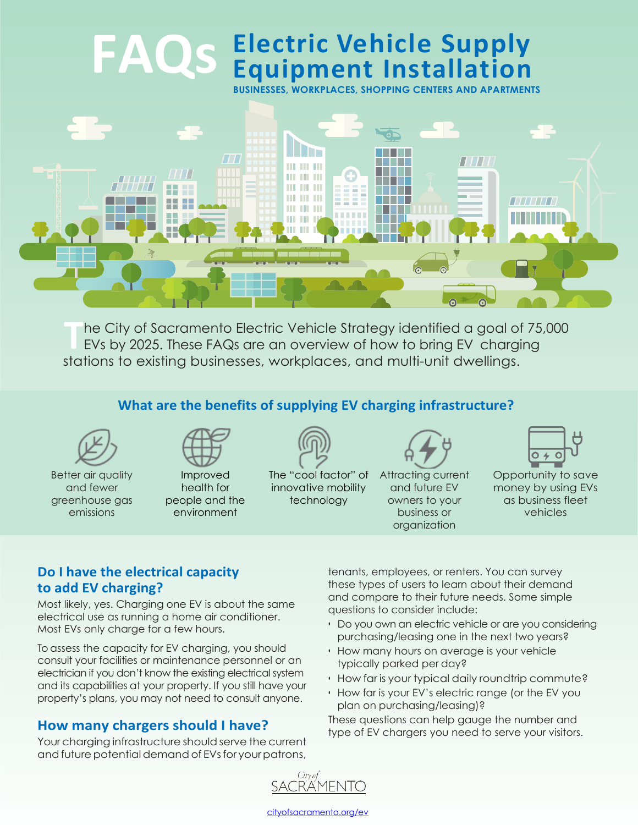# **Electric Vehicle Supply Equipment Installation FAQs**

**BUSINESSES, WORKPLACES, SHOPPING CENTERS AND APARTMENTS**



**T** he City of Sacramento Electric Vehicle Strategy identified a goal of 75,000 EVs by 2025. These FAQs are an overview of how to bring EV charging stations to existing businesses, workplaces, and multi-unit dwellings.

## **What are the benefits of supplying EV charging infrastructure?**



Better air quality and fewer greenhouse gas emissions



Improved health for people and the environment



The "cool factor" of innovative mobility technology



Attracting current and future EV owners to your business or organization



Opportunity to save money by using EVs as business fleet vehicles

#### **Do I have the electrical capacity to add EV charging?**

Most likely, yes. Charging one EV is about the same electrical use as running a home air conditioner. Most EVs only charge for a few hours.

To assess the capacity for EV charging, you should consult your facilities or maintenance personnel or an electrician if you don't know the existing electrical system and its capabilities at your property. If you still have your property's plans, you may not need to consult anyone.

### **How many chargers should I have?**

Your charging infrastructure should serve the current and future potential demand of EVs for your patrons,

tenants, employees, or renters. You can survey these types of users to learn about their demand and compare to their future needs. Some simple questions to consider include:

- Do you own an electric vehicle or are you considering purchasing/leasing one in the next two years?
- How many hours on average is your vehicle typically parked per day?
- How far is your typical daily roundtrip commute?
- How far is your EV's electric range (or the EV you plan on purchasing/leasing)?

These questions can help gauge the number and type of EV chargers you need to serve your visitors.



cityofsacramento.org/ev